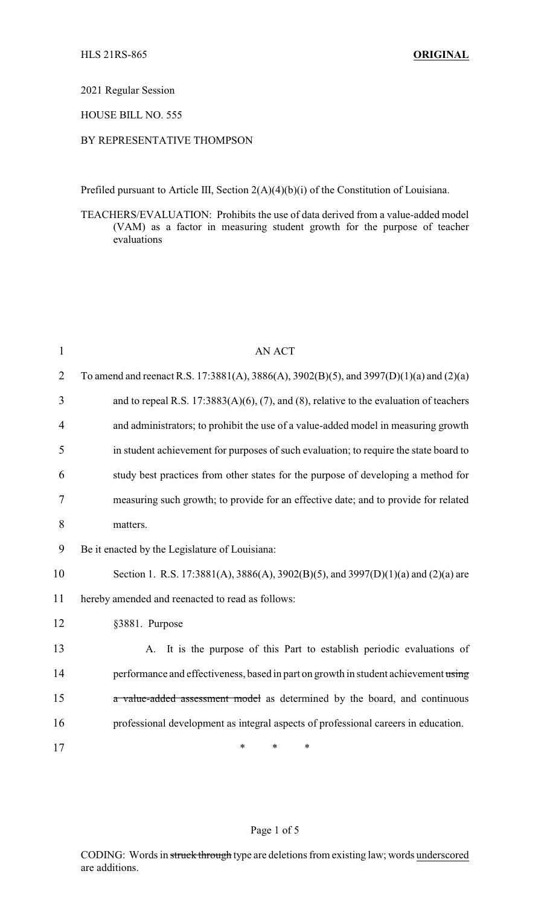2021 Regular Session

HOUSE BILL NO. 555

## BY REPRESENTATIVE THOMPSON

Prefiled pursuant to Article III, Section 2(A)(4)(b)(i) of the Constitution of Louisiana.

TEACHERS/EVALUATION: Prohibits the use of data derived from a value-added model (VAM) as a factor in measuring student growth for the purpose of teacher evaluations

| $\mathbf{1}$ | <b>AN ACT</b>                                                                           |
|--------------|-----------------------------------------------------------------------------------------|
| 2            | To amend and reenact R.S. 17:3881(A), 3886(A), 3902(B)(5), and 3997(D)(1)(a) and (2)(a) |
| 3            | and to repeal R.S. 17:3883(A)(6), (7), and (8), relative to the evaluation of teachers  |
| 4            | and administrators; to prohibit the use of a value-added model in measuring growth      |
| 5            | in student achievement for purposes of such evaluation; to require the state board to   |
| 6            | study best practices from other states for the purpose of developing a method for       |
| 7            | measuring such growth; to provide for an effective date; and to provide for related     |
| 8            | matters.                                                                                |
| 9            | Be it enacted by the Legislature of Louisiana:                                          |
| 10           | Section 1. R.S. 17:3881(A), 3886(A), 3902(B)(5), and 3997(D)(1)(a) and (2)(a) are       |
| 11           | hereby amended and reenacted to read as follows:                                        |
| 12           | §3881. Purpose                                                                          |
| 13           | A. It is the purpose of this Part to establish periodic evaluations of                  |
| 14           | performance and effectiveness, based in part on growth in student achievement using     |
| 15           | a value-added assessment model as determined by the board, and continuous               |
| 16           | professional development as integral aspects of professional careers in education.      |
| 17           | $\ast$<br>$\ast$<br>*                                                                   |

## Page 1 of 5

CODING: Words in struck through type are deletions from existing law; words underscored are additions.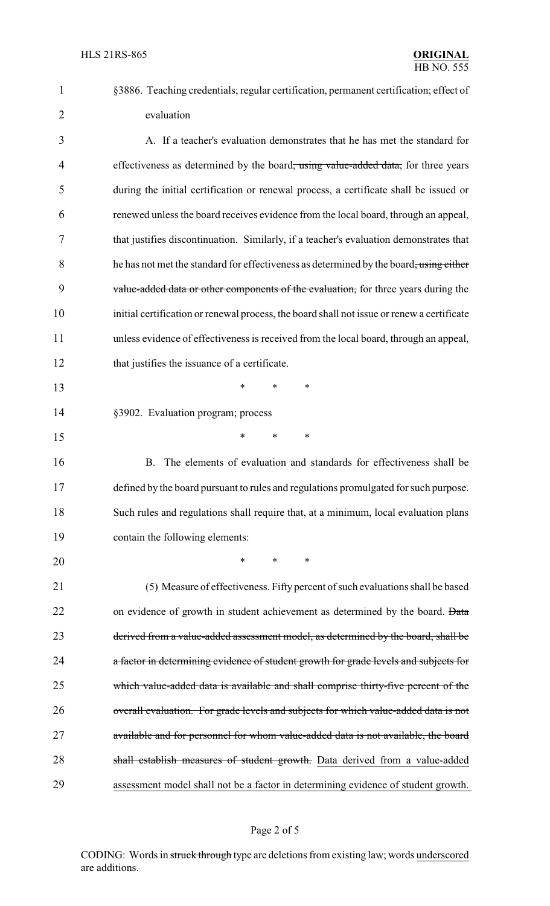| §3886. Teaching credentials; regular certification, permanent certification; effect of |
|----------------------------------------------------------------------------------------|
| evaluation                                                                             |

3 A. If a teacher's evaluation demonstrates that he has met the standard for 4 effectiveness as determined by the board<del>, using value-added data,</del> for three years 5 during the initial certification or renewal process, a certificate shall be issued or 6 renewed unless the board receives evidence from the local board, through an appeal, 7 that justifies discontinuation. Similarly, if a teacher's evaluation demonstrates that 8 he has not met the standard for effectiveness as determined by the board, using either 9 value-added data or other components of the evaluation, for three years during the 10 initial certification or renewal process, the board shall not issue or renew a certificate 11 unless evidence of effectiveness is received from the local board, through an appeal, 12 that justifies the issuance of a certificate.

13 \* \* \*

14 §3902. Evaluation program; process

15 \* \* \*

16 B. The elements of evaluation and standards for effectiveness shall be defined by the board pursuant to rules and regulations promulgated for such purpose. Such rules and regulations shall require that, at a minimum, local evaluation plans contain the following elements:

20 \* \* \*

21 (5) Measure of effectiveness. Fifty percent of such evaluations shall be based 22 on evidence of growth in student achievement as determined by the board. Data 23 derived from a value-added assessment model, as determined by the board, shall be 24 a factor in determining evidence of student growth for grade levels and subjects for 25 which value-added data is available and shall comprise thirty-five percent of the 26 overall evaluation. For grade levels and subjects for which value-added data is not 27 available and for personnel for whom value-added data is not available, the board 28 shall establish measures of student growth. Data derived from a value-added 29 assessment model shall not be a factor in determining evidence of student growth.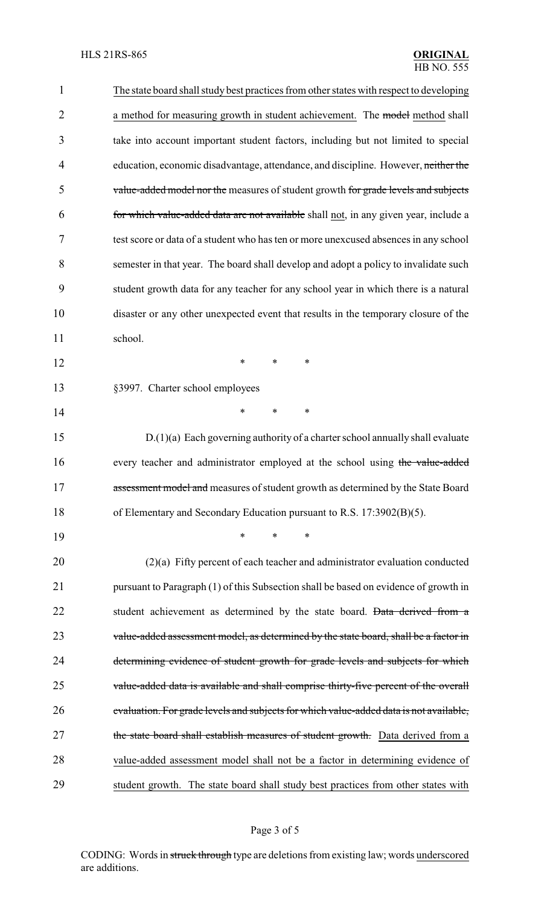| $\mathbf{1}$   | The state board shall study best practices from other states with respect to developing |
|----------------|-----------------------------------------------------------------------------------------|
| $\overline{2}$ | a method for measuring growth in student achievement. The model method shall            |
| 3              | take into account important student factors, including but not limited to special       |
| 4              | education, economic disadvantage, attendance, and discipline. However, neither the      |
| 5              | value-added model nor the measures of student growth for grade levels and subjects      |
| 6              | for which value-added data are not available shall not, in any given year, include a    |
| 7              | test score or data of a student who has ten or more unexcused absences in any school    |
| 8              | semester in that year. The board shall develop and adopt a policy to invalidate such    |
| 9              | student growth data for any teacher for any school year in which there is a natural     |
| 10             | disaster or any other unexpected event that results in the temporary closure of the     |
| 11             | school.                                                                                 |
| 12             | $\ast$<br>*<br>∗                                                                        |
| 13             | §3997. Charter school employees                                                         |
| 14             | *<br>$\ast$<br>∗                                                                        |
| 15             | $D(1)(a)$ Each governing authority of a charter school annually shall evaluate          |
| 16             | every teacher and administrator employed at the school using the value-added            |
| 17             | assessment model and measures of student growth as determined by the State Board        |
| 18             | of Elementary and Secondary Education pursuant to R.S. 17:3902(B)(5).                   |
| 19             | ∗<br>*<br>∗                                                                             |
| 20             | $(2)(a)$ Fifty percent of each teacher and administrator evaluation conducted           |
| 21             | pursuant to Paragraph (1) of this Subsection shall be based on evidence of growth in    |
| 22             | student achievement as determined by the state board. Data derived from a               |
| 23             | value-added assessment model, as determined by the state board, shall be a factor in    |
| 24             | determining evidence of student growth for grade levels and subjects for which          |
| 25             | value-added data is available and shall comprise thirty-five percent of the overall     |
| 26             | evaluation. For grade levels and subjects for which value-added data is not available,  |
| 27             | the state board shall establish measures of student growth. Data derived from a         |
| 28             | value-added assessment model shall not be a factor in determining evidence of           |
| 29             | student growth. The state board shall study best practices from other states with       |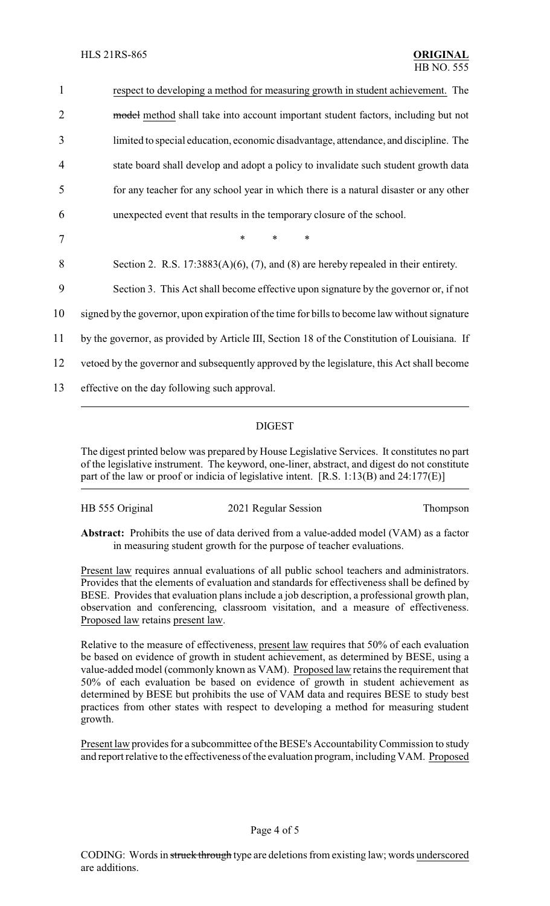| $\mathbf{1}$   | respect to developing a method for measuring growth in student achievement. The               |
|----------------|-----------------------------------------------------------------------------------------------|
| $\overline{2}$ | model method shall take into account important student factors, including but not             |
| 3              | limited to special education, economic disadvantage, attendance, and discipline. The          |
| 4              | state board shall develop and adopt a policy to invalidate such student growth data           |
| 5              | for any teacher for any school year in which there is a natural disaster or any other         |
| 6              | unexpected event that results in the temporary closure of the school.                         |
| 7              | $\ast$<br>$\ast$<br>$\ast$                                                                    |
| 8              | Section 2. R.S. $17:3883(A)(6)$ , (7), and (8) are hereby repealed in their entirety.         |
| 9              | Section 3. This Act shall become effective upon signature by the governor or, if not          |
| 10             | signed by the governor, upon expiration of the time for bills to become law without signature |
| 11             | by the governor, as provided by Article III, Section 18 of the Constitution of Louisiana. If  |
| 12             | vetoed by the governor and subsequently approved by the legislature, this Act shall become    |
| 13             | effective on the day following such approval.                                                 |
|                |                                                                                               |

## DIGEST

The digest printed below was prepared by House Legislative Services. It constitutes no part of the legislative instrument. The keyword, one-liner, abstract, and digest do not constitute part of the law or proof or indicia of legislative intent. [R.S. 1:13(B) and 24:177(E)]

| HB 555 Original | 2021 Regular Session | Thompson |
|-----------------|----------------------|----------|
|                 |                      |          |

**Abstract:** Prohibits the use of data derived from a value-added model (VAM) as a factor in measuring student growth for the purpose of teacher evaluations.

Present law requires annual evaluations of all public school teachers and administrators. Provides that the elements of evaluation and standards for effectiveness shall be defined by BESE. Provides that evaluation plans include a job description, a professional growth plan, observation and conferencing, classroom visitation, and a measure of effectiveness. Proposed law retains present law.

Relative to the measure of effectiveness, present law requires that 50% of each evaluation be based on evidence of growth in student achievement, as determined by BESE, using a value-added model (commonly known as VAM). Proposed law retains the requirement that 50% of each evaluation be based on evidence of growth in student achievement as determined by BESE but prohibits the use of VAM data and requires BESE to study best practices from other states with respect to developing a method for measuring student growth.

Present law provides for a subcommittee of the BESE's Accountability Commission to study and report relative to the effectiveness of the evaluation program, including VAM. Proposed